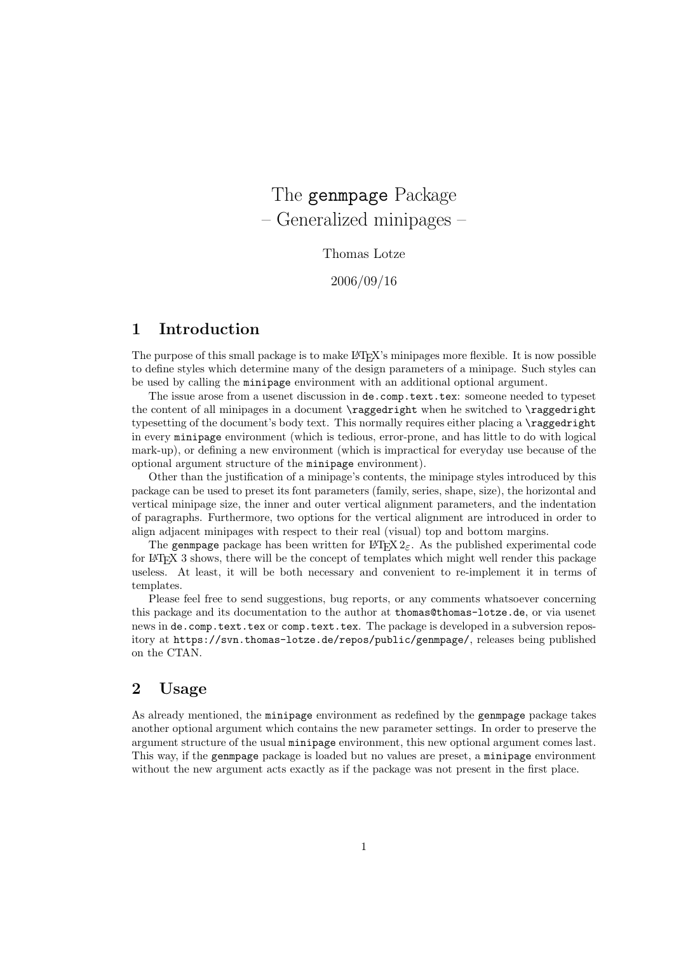# The genmpage Package – Generalized minipages –

Thomas Lotze

2006/09/16

# 1 Introduction

The purpose of this small package is to make LAT<sub>EX</sub>'s minipages more flexible. It is now possible to define styles which determine many of the design parameters of a minipage. Such styles can be used by calling the minipage environment with an additional optional argument.

The issue arose from a usenet discussion in de.comp.text.tex: someone needed to typeset the content of all minipages in a document \raggedright when he switched to \raggedright typesetting of the document's body text. This normally requires either placing a \raggedright in every minipage environment (which is tedious, error-prone, and has little to do with logical mark-up), or defining a new environment (which is impractical for everyday use because of the optional argument structure of the minipage environment).

Other than the justification of a minipage's contents, the minipage styles introduced by this package can be used to preset its font parameters (family, series, shape, size), the horizontal and vertical minipage size, the inner and outer vertical alignment parameters, and the indentation of paragraphs. Furthermore, two options for the vertical alignment are introduced in order to align adjacent minipages with respect to their real (visual) top and bottom margins.

The genmpage package has been written for  $\mathbb{E} T_F X 2_\varepsilon$ . As the published experimental code for LAT<sub>EX</sub> 3 shows, there will be the concept of templates which might well render this package useless. At least, it will be both necessary and convenient to re-implement it in terms of templates.

Please feel free to send suggestions, bug reports, or any comments whatsoever concerning this package and its documentation to the author at thomas@thomas-lotze.de, or via usenet news in de.comp.text.tex or comp.text.tex. The package is developed in a subversion repository at https://svn.thomas-lotze.de/repos/public/genmpage/, releases being published on the CTAN.

# 2 Usage

As already mentioned, the minipage environment as redefined by the genmpage package takes another optional argument which contains the new parameter settings. In order to preserve the argument structure of the usual minipage environment, this new optional argument comes last. This way, if the genmpage package is loaded but no values are preset, a minipage environment without the new argument acts exactly as if the package was not present in the first place.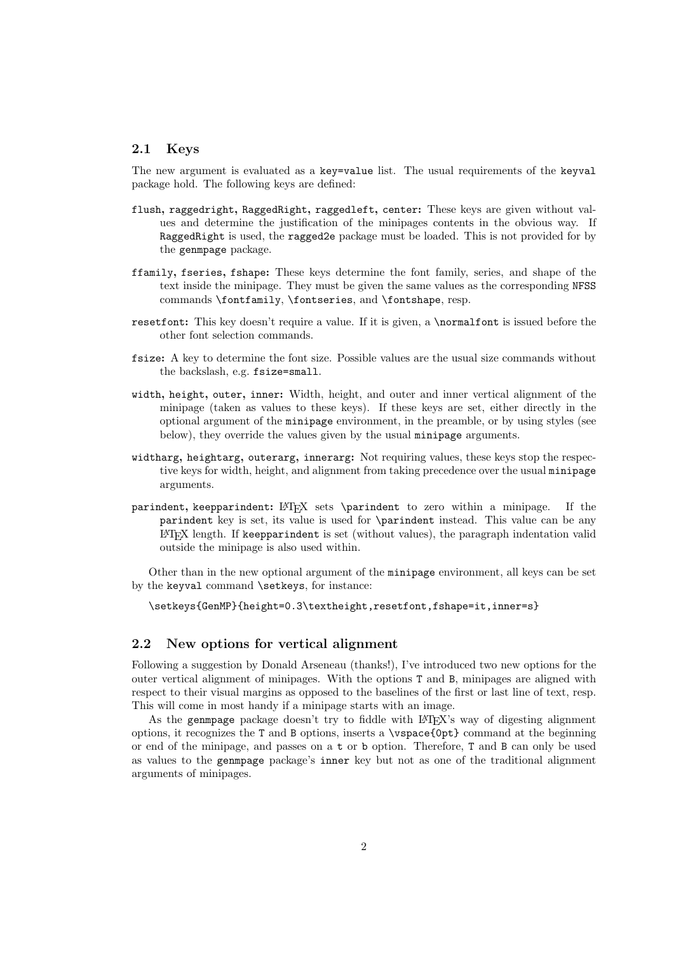#### 2.1 Keys

The new argument is evaluated as a key=value list. The usual requirements of the keyval package hold. The following keys are defined:

- flush, raggedright, RaggedRight, raggedleft, center: These keys are given without values and determine the justification of the minipages contents in the obvious way. If RaggedRight is used, the ragged2e package must be loaded. This is not provided for by the genmpage package.
- ffamily, fseries, fshape: These keys determine the font family, series, and shape of the text inside the minipage. They must be given the same values as the corresponding NFSS commands \fontfamily, \fontseries, and \fontshape, resp.
- resetfont: This key doesn't require a value. If it is given, a **\normalfont** is issued before the other font selection commands.
- fsize: A key to determine the font size. Possible values are the usual size commands without the backslash, e.g. fsize=small.
- width, height, outer, inner: Width, height, and outer and inner vertical alignment of the minipage (taken as values to these keys). If these keys are set, either directly in the optional argument of the minipage environment, in the preamble, or by using styles (see below), they override the values given by the usual minipage arguments.
- widtharg, heightarg, outerarg, innerarg: Not requiring values, these keys stop the respective keys for width, height, and alignment from taking precedence over the usual minipage arguments.
- parindent, keepparindent: LATEX sets \parindent to zero within a minipage. If the parindent key is set, its value is used for \parindent instead. This value can be any LATEX length. If keepparindent is set (without values), the paragraph indentation valid outside the minipage is also used within.

Other than in the new optional argument of the minipage environment, all keys can be set by the keyval command \setkeys, for instance:

\setkeys{GenMP}{height=0.3\textheight,resetfont,fshape=it,inner=s}

#### 2.2 New options for vertical alignment

Following a suggestion by Donald Arseneau (thanks!), I've introduced two new options for the outer vertical alignment of minipages. With the options T and B, minipages are aligned with respect to their visual margins as opposed to the baselines of the first or last line of text, resp. This will come in most handy if a minipage starts with an image.

As the genmpage package doesn't try to fiddle with LATEX's way of digesting alignment options, it recognizes the T and B options, inserts a \vspace{0pt} command at the beginning or end of the minipage, and passes on a t or b option. Therefore, T and B can only be used as values to the genmpage package's inner key but not as one of the traditional alignment arguments of minipages.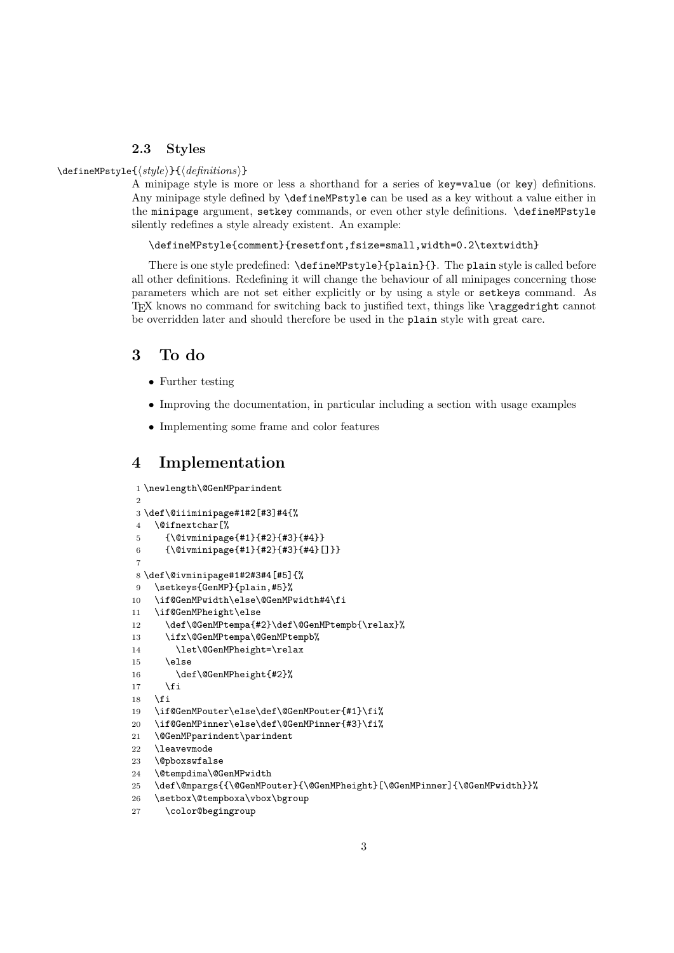#### 2.3 Styles

#### \defineMPstyle{ $\langle style\rangle$ }{ $\langle definitions\rangle$ }

A minipage style is more or less a shorthand for a series of key=value (or key) definitions. Any minipage style defined by \defineMPstyle can be used as a key without a value either in the minipage argument, setkey commands, or even other style definitions. \defineMPstyle silently redefines a style already existent. An example:

\defineMPstyle{comment}{resetfont,fsize=small,width=0.2\textwidth}

There is one style predefined: \defineMPstyle}{plain}{}. The plain style is called before all other definitions. Redefining it will change the behaviour of all minipages concerning those parameters which are not set either explicitly or by using a style or setkeys command. As TEX knows no command for switching back to justified text, things like \raggedright cannot be overridden later and should therefore be used in the plain style with great care.

### 3 To do

- Further testing
- Improving the documentation, in particular including a section with usage examples
- Implementing some frame and color features

## 4 Implementation

```
1 \newlength\@GenMPparindent
2
3 \def\@iiiminipage#1#2[#3]#4{%
4 \@ifnextchar[%
5 {\@ivminipage{#1}{#2}{#3}{#4}}
6 {\@ivminipage{#1}{#2}{#3}{#4}[]}}
 7
8 \def\@ivminipage#1#2#3#4[#5]{%
9 \setkeys{GenMP}{plain,#5}%
10 \if@GenMPwidth\else\@GenMPwidth#4\fi
11 \if@GenMPheight\else
12 \def\@GenMPtempa{#2}\def\@GenMPtempb{\relax}%
13 \ifx\@GenMPtempa\@GenMPtempb%
14 \let\@GenMPheight=\relax
15 \else
16 \def\@GenMPheight{#2}%
17 \fi
18 \fi
19 \if@GenMPouter\else\def\@GenMPouter{#1}\fi%
20 \if@GenMPinner\else\def\@GenMPinner{#3}\fi%
21 \@GenMPparindent\parindent
22 \leavevmode
23 \@pboxswfalse
24 \@tempdima\@GenMPwidth
25 \def\@mpargs{{\@GenMPouter}{\@GenMPheight}[\@GenMPinner]{\@GenMPwidth}}%
26 \setbox\@tempboxa\vbox\bgroup
```

```
27 \color@begingroup
```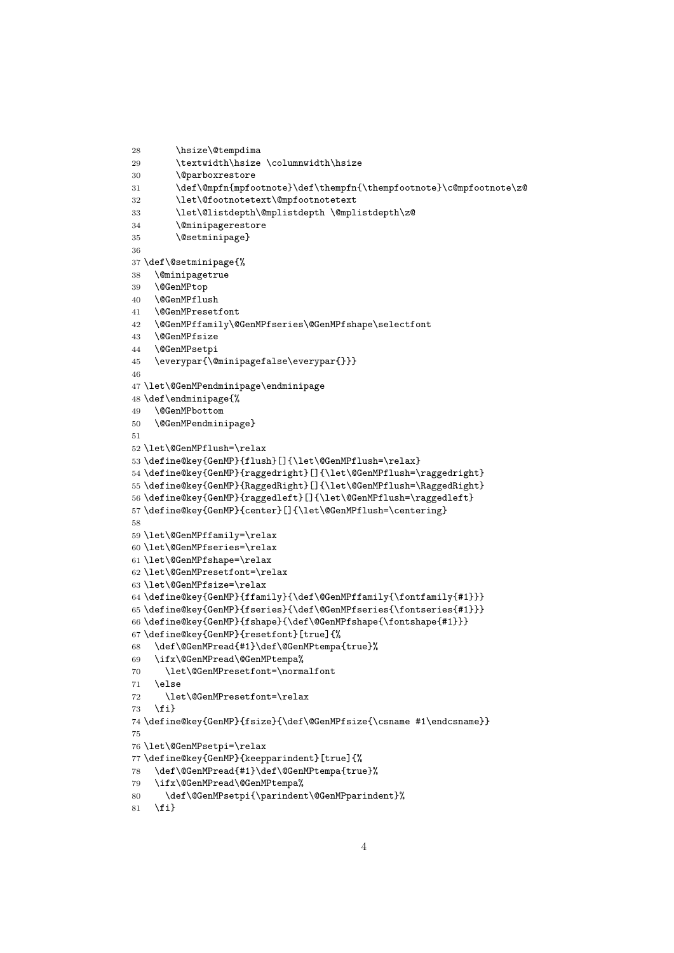```
30 \@parboxrestore
31 \def\@mpfn{mpfootnote}\def\thempfn{\thempfootnote}\c@mpfootnote\z@
32 \let\@footnotetext\@mpfootnotetext
33 \let\@listdepth\@mplistdepth \@mplistdepth\z@
34 \@minipagerestore
35 \@setminipage}
36
37 \def\@setminipage{%
38 \@minipagetrue
39 \@GenMPtop
40 \@GenMPflush
41 \@GenMPresetfont
42 \@GenMPffamily\@GenMPfseries\@GenMPfshape\selectfont
43 \@GenMPfsize
44 \@GenMPsetpi
45 \everypar{\@minipagefalse\everypar{}}}
46
47 \let\@GenMPendminipage\endminipage
48 \def\endminipage{%
49 \@GenMPbottom
50 \@GenMPendminipage}
51
52 \let\@GenMPflush=\relax
53 \define@key{GenMP}{flush}[]{\let\@GenMPflush=\relax}
54 \define@key{GenMP}{raggedright}[]{\let\@GenMPflush=\raggedright}
55 \define@key{GenMP}{RaggedRight}[]{\let\@GenMPflush=\RaggedRight}
56 \define@key{GenMP}{raggedleft}[]{\let\@GenMPflush=\raggedleft}
57 \define@key{GenMP}{center}[]{\let\@GenMPflush=\centering}
58
59 \let\@GenMPffamily=\relax
60 \let\@GenMPfseries=\relax
61 \let\@GenMPfshape=\relax
62 \let\@GenMPresetfont=\relax
63 \let\@GenMPfsize=\relax
64 \define@key{GenMP}{ffamily}{\def\@GenMPffamily{\fontfamily{#1}}}
65 \define@key{GenMP}{fseries}{\def\@GenMPfseries{\fontseries{#1}}}
66 \define@key{GenMP}{fshape}{\def\@GenMPfshape{\fontshape{#1}}}
67 \define@key{GenMP}{resetfont}[true]{%
68 \def\@GenMPread{#1}\def\@GenMPtempa{true}%
69 \ifx\@GenMPread\@GenMPtempa%
70 \let\@GenMPresetfont=\normalfont
71 \else
72 \let\@GenMPresetfont=\relax
73 \fi}
74 \define@key{GenMP}{fsize}{\def\@GenMPfsize{\csname #1\endcsname}}
75
76 \let\@GenMPsetpi=\relax
77 \define@key{GenMP}{keepparindent}[true]{%
78 \def\@GenMPread{#1}\def\@GenMPtempa{true}%
79 \ifx\@GenMPread\@GenMPtempa%
80 \def\@GenMPsetpi{\parindent\@GenMPparindent}%
```

```
81 \fi}
```
28 \hsize\@tempdima

29 \textwidth\hsize \columnwidth\hsize